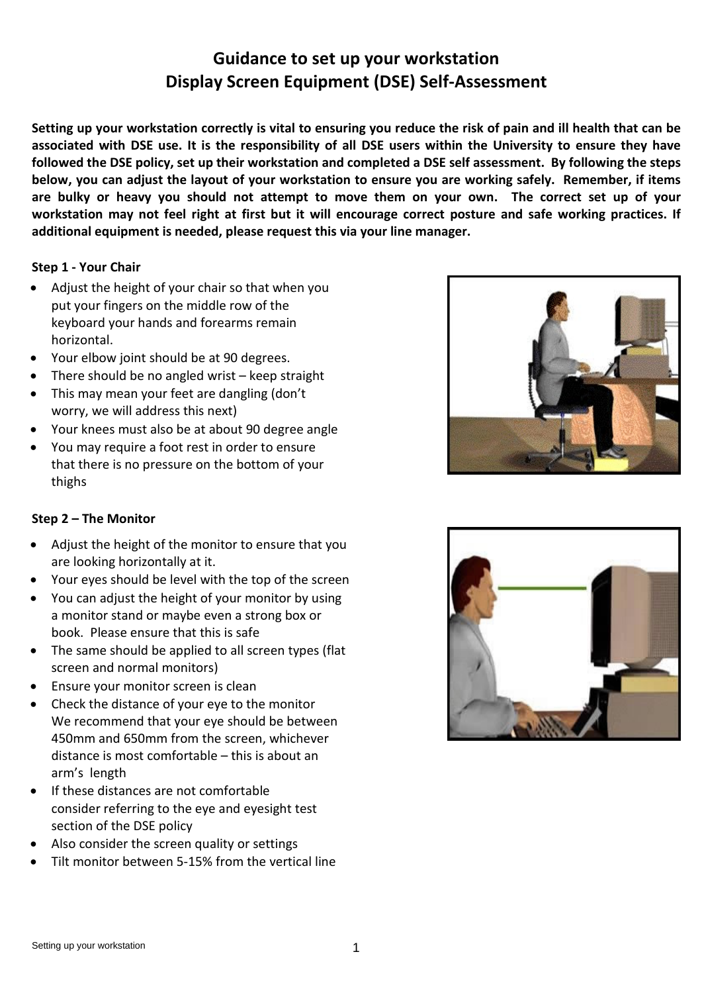# **Guidance to set up your workstation Display Screen Equipment (DSE) Self-Assessment**

**Setting up your workstation correctly is vital to ensuring you reduce the risk of pain and ill health that can be associated with DSE use. It is the responsibility of all DSE users within the University to ensure they have followed the DSE policy, set up their workstation and completed a DSE self assessment. By following the steps below, you can adjust the layout of your workstation to ensure you are working safely. Remember, if items are bulky or heavy you should not attempt to move them on your own. The correct set up of your workstation may not feel right at first but it will encourage correct posture and safe working practices. If additional equipment is needed, please request this via your line manager.**

## **Step 1 - Your Chair**

- Adjust the height of your chair so that when you put your fingers on the middle row of the keyboard your hands and forearms remain horizontal.
- Your elbow joint should be at 90 degrees.
- There should be no angled wrist keep straight
- This may mean your feet are dangling (don't worry, we will address this next)
- Your knees must also be at about 90 degree angle
- You may require a foot rest in order to ensure that there is no pressure on the bottom of your thighs

## **Step 2 – The Monitor**

- Adjust the height of the monitor to ensure that you are looking horizontally at it.
- Your eyes should be level with the top of the screen
- You can adjust the height of your monitor by using a monitor stand or maybe even a strong box or book. Please ensure that this is safe
- The same should be applied to all screen types (flat screen and normal monitors)
- Ensure your monitor screen is clean
- arm's length • Check the distance of your eye to the monitor We recommend that your eye should be between 450mm and 650mm from the screen, whichever distance is most comfortable – this is about an
- If these distances are not comfortable consider referring to the eye and eyesight test section of the DSE policy
- Also consider the screen quality or settings
- Tilt monitor between 5-15% from the vertical line



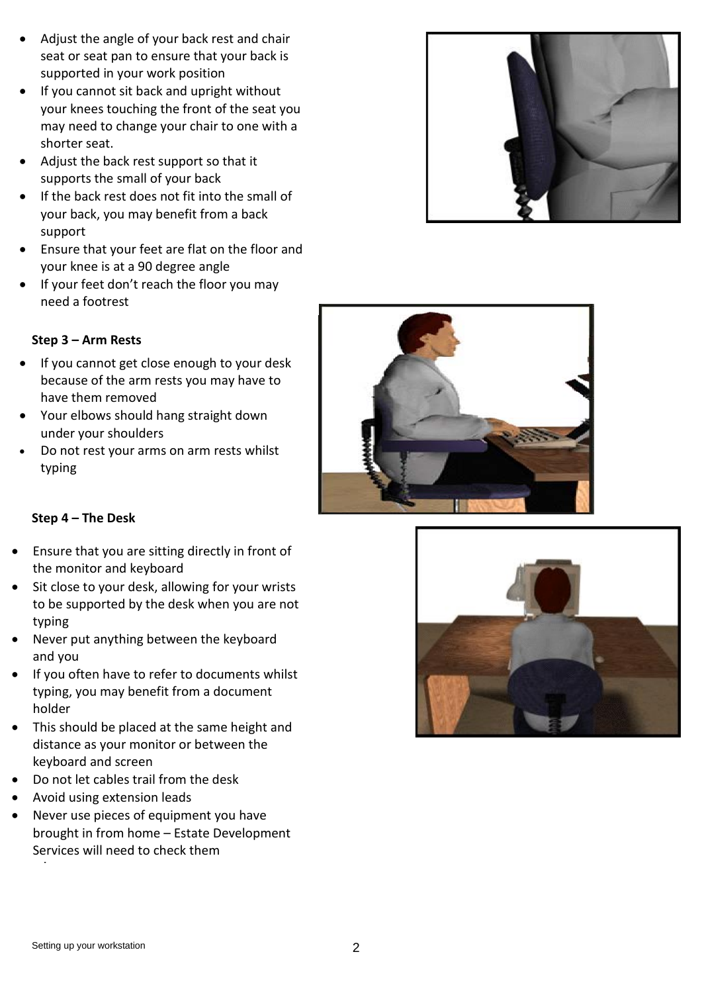- Adjust the angle of your back rest and chair seat or seat pan to ensure that your back is supported in your work position
- If you cannot sit back and upright without your knees touching the front of the seat you may need to change your chair to one with a shorter seat.
- Adjust the back rest support so that it supports the small of your back
- If the back rest does not fit into the small of your back, you may benefit from a back support
- Ensure that your feet are flat on the floor and your knee is at a 90 degree angle
- If your feet don't reach the floor you may need a footrest



- If you cannot get close enough to your desk because of the arm rests you may have to have them removed
- Your elbows should hang straight down under your shoulders
- Do not rest your arms on arm rests whilst typing

## **Step 4 – The Desk**

- Ensure that you are sitting directly in front of the monitor and keyboard
- Sit close to your desk, allowing for your wrists to be supported by the desk when you are not typing
- Never put anything between the keyboard and you
- If you often have to refer to documents whilst typing, you may benefit from a document holder
- This should be placed at the same height and distance as your monitor or between the keyboard and screen
- Do not let cables trail from the desk
- Avoid using extension leads
- Services will need to check them • Never use pieces of equipment you have brought in from home – Estate Development